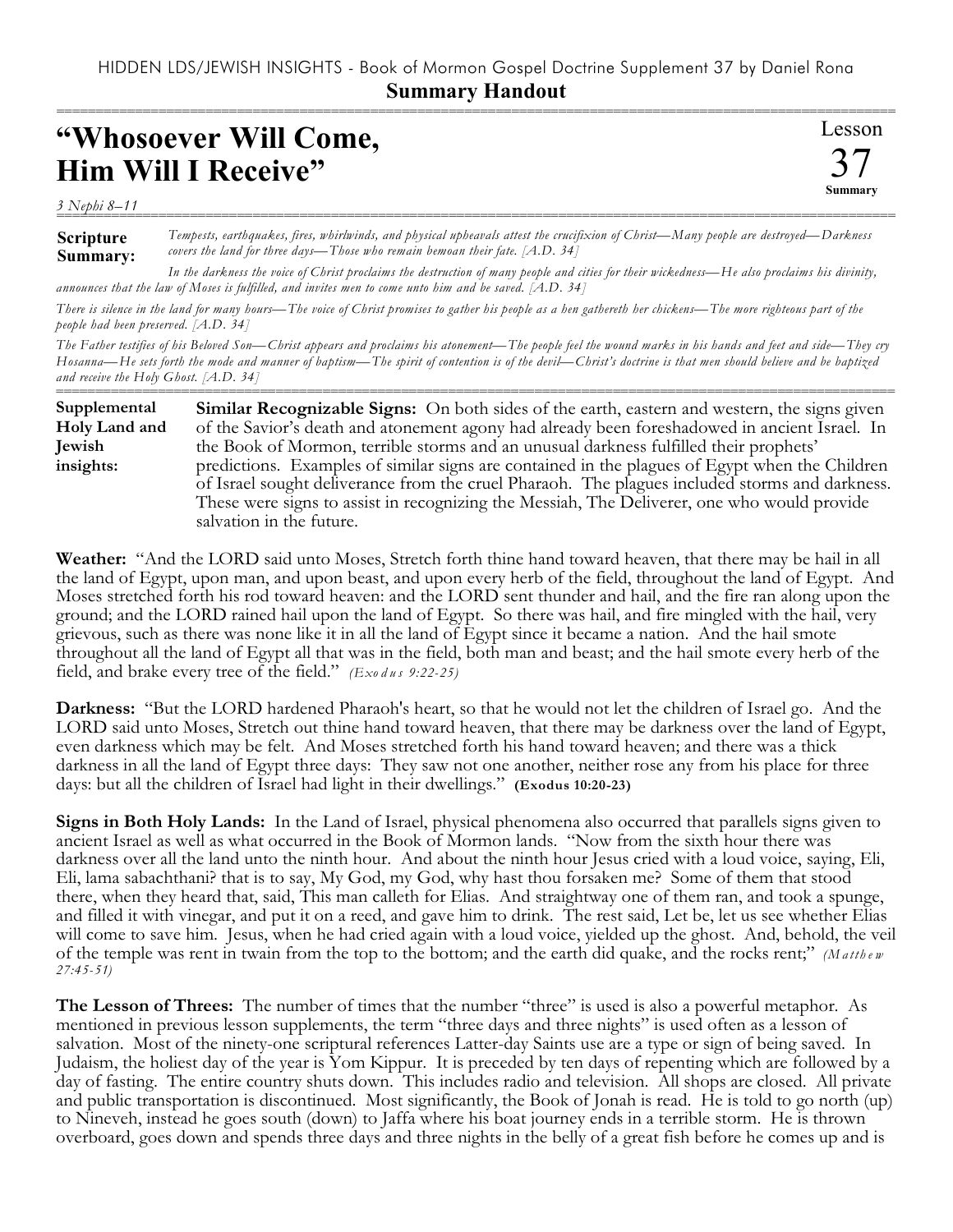## HIDDEN LDS/JEWISH INSIGHTS - Book of Mormon Gospel Doctrine Supplement 37 by Daniel Rona **Summary Handout**

===========================================================================================================

## **"Whosoever Will Come, Him Will I Receive"**

*3 Nephi 8–11* ===========================================================================================================

**Scripture Summary:** *Tempests, earthquakes, fires, whirlwinds, and physical upheavals attest the crucifixion of Christ—Many people are destroyed—Darkness covers the land for three days—Those who remain bemoan their fate. [A.D. 34]*

Lesson

37 **Summary**

*In the darkness the voice of Christ proclaims the destruction of many people and cities for their wickedness—He also proclaims his divinity, announces that the law of Moses is fulfilled, and invites men to come unto him and be saved. [A.D. 34]*

*There is silence in the land for many hours—The voice of Christ promises to gather his people as a hen gathereth her chickens—The more righteous part of the people had been preserved. [A.D. 34]*

*The Father testifies of his Beloved Son—Christ appears and proclaims his atonement—The people feel the wound marks in his hands and feet and side—They cry Hosanna—He sets forth the mode and manner of baptism—The spirit of contention is of the devil—Christ's doctrine is that men should believe and be baptized and receive the Holy Ghost. [A.D. 34]*

=========================================================================================================== **Similar Recognizable Signs:** On both sides of the earth, eastern and western, the signs given of the Savior's death and atonement agony had already been foreshadowed in ancient Israel. In the Book of Mormon, terrible storms and an unusual darkness fulfilled their prophets' predictions. Examples of similar signs are contained in the plagues of Egypt when the Children of Israel sought deliverance from the cruel Pharaoh. The plagues included storms and darkness. These were signs to assist in recognizing the Messiah, The Deliverer, one who would provide salvation in the future. **Supplemental Holy Land and Jewish insights:**

**Weather:** "And the LORD said unto Moses, Stretch forth thine hand toward heaven, that there may be hail in all the land of Egypt, upon man, and upon beast, and upon every herb of the field, throughout the land of Egypt. And Moses stretched forth his rod toward heaven: and the LORD sent thunder and hail, and the fire ran along upon the ground; and the LORD rained hail upon the land of Egypt. So there was hail, and fire mingled with the hail, very grievous, such as there was none like it in all the land of Egypt since it became a nation. And the hail smote throughout all the land of Egypt all that was in the field, both man and beast; and the hail smote every herb of the field, and brake every tree of the field." *(Exo d u s 9:22-25)*

**Darkness:** "But the LORD hardened Pharaoh's heart, so that he would not let the children of Israel go. And the LORD said unto Moses, Stretch out thine hand toward heaven, that there may be darkness over the land of Egypt, even darkness which may be felt. And Moses stretched forth his hand toward heaven; and there was a thick darkness in all the land of Egypt three days: They saw not one another, neither rose any from his place for three days: but all the children of Israel had light in their dwellings." **(Exodus 10:20-23)**

**Signs in Both Holy Lands:** In the Land of Israel, physical phenomena also occurred that parallels signs given to ancient Israel as well as what occurred in the Book of Mormon lands. "Now from the sixth hour there was darkness over all the land unto the ninth hour. And about the ninth hour Jesus cried with a loud voice, saying, Eli, Eli, lama sabachthani? that is to say, My God, my God, why hast thou forsaken me? Some of them that stood there, when they heard that, said, This man calleth for Elias. And straightway one of them ran, and took a spunge, and filled it with vinegar, and put it on a reed, and gave him to drink. The rest said, Let be, let us see whether Elias will come to save him. Jesus, when he had cried again with a loud voice, yielded up the ghost. And, behold, the veil of the temple was rent in twain from the top to the bottom; and the earth did quake, and the rocks rent;" *(M a tth e w 27:45-51)*

**The Lesson of Threes:** The number of times that the number "three" is used is also a powerful metaphor. As mentioned in previous lesson supplements, the term "three days and three nights" is used often as a lesson of salvation. Most of the ninety-one scriptural references Latter-day Saints use are a type or sign of being saved. In Judaism, the holiest day of the year is Yom Kippur. It is preceded by ten days of repenting which are followed by a day of fasting. The entire country shuts down. This includes radio and television. All shops are closed. All private and public transportation is discontinued. Most significantly, the Book of Jonah is read. He is told to go north (up) to Nineveh, instead he goes south (down) to Jaffa where his boat journey ends in a terrible storm. He is thrown overboard, goes down and spends three days and three nights in the belly of a great fish before he comes up and is